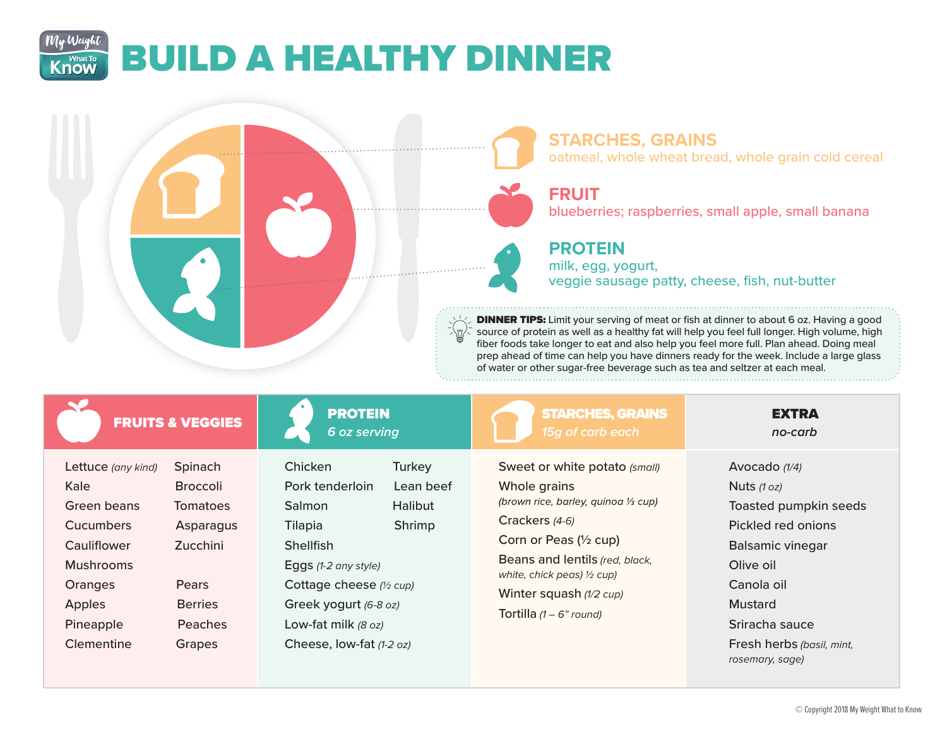## My Weight BUILD A HEALTHY DINNER **Know**



**FRUITS & VEGGIES** 

| Lettuce (any kind) | Spinach         |
|--------------------|-----------------|
| Kale               | <b>Broccoli</b> |
| Green beans        | Tomatoes        |
| Cucumbers          | Asparagus       |
| Cauliflower        | Zucchini        |
| Mushrooms          |                 |
| Oranges            | Pears           |
| <b>Apples</b>      | <b>Berries</b>  |
| Pineapple          | Peaches         |
| Clementine         | Grapes          |

| <b>PROTEIN</b>  |  |
|-----------------|--|
|                 |  |
|                 |  |
| <b>Gozconin</b> |  |

*6 oz serving* Chicken Turkey

| <b>CHILKEH</b>           | i ui key  |  |
|--------------------------|-----------|--|
| Pork tenderloin          | Lean beef |  |
| Salmon                   | Halibut   |  |
| Tilapia                  | Shrimp    |  |
| Shellfish                |           |  |
| Eggs (1-2 any style)     |           |  |
| Cottage cheese (1/2 cup) |           |  |
| Greek yogurt (6-8 oz)    |           |  |
| Low-fat milk (8 oz)      |           |  |
| Cheese, low-fat (1-2 oz) |           |  |

STARCHES, GRAINS

Sweet or white potato *(small)* Whole grains (brown rice, barley, quinoa 1/3 cup) Crackers *(4-6)* Corn or Peas (½ cup) Beans and lentils *(red, black, white, chick peas) ½ cup)* Winter squash *(1/2 cup)* Tortilla *(1 – 6" round)*

**EXTRA** *no-carb*

Avocado *(1/4)* Nuts *(1 oz)* Toasted pumpkin seeds Pickled red onions Balsamic vinegar Olive oil Canola oil Mustard Sriracha sauce Fresh herbs *(basil, mint, rosemary, sage)*